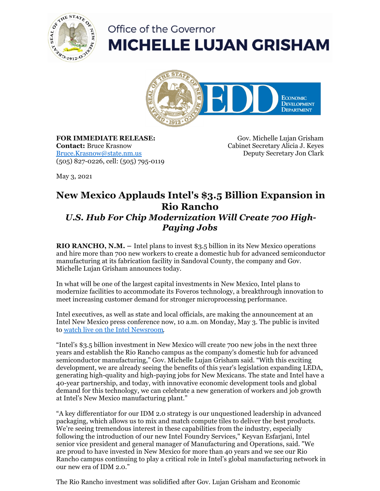

## Office of the Governor **MICHELLE LUJAN GRISHAM**



**FOR IMMEDIATE RELEASE: Contact:** Bruce Krasnow [Bruce.Krasnow@state.nm.us](mailto:Bruce.Krasnow@state.nm.us) (505) 827-0226, cell: (505) 795-0119

Gov. Michelle Lujan Grisham Cabinet Secretary Alicia J. Keyes Deputy Secretary Jon Clark

May 3, 2021

## **New Mexico Applauds Intel's \$3.5 Billion Expansion in Rio Rancho** *U.S. Hub For Chip Modernization Will Create 700 High-*

## *Paying Jobs*

**RIO RANCHO, N.M. –** Intel plans to invest \$3.5 billion in its New Mexico operations and hire more than 700 new workers to create a domestic hub for advanced semiconductor manufacturing at its fabrication facility in Sandoval County, the company and Gov. Michelle Lujan Grisham announces today.

In what will be one of the largest capital investments in New Mexico, Intel plans to modernize facilities to accommodate its Foveros technology, a breakthrough innovation to meet increasing customer demand for stronger microprocessing performance.

Intel executives, as well as state and local officials, are making the announcement at an Intel New Mexico press conference now, 10 a.m. on Monday, May 3. The public is invited to [watch live on the Intel Newsroom.](https://www.intel.com/content/www/us/en/newsroom/home.html)

"Intel's \$3.5 billion investment in New Mexico will create 700 new jobs in the next three years and establish the Rio Rancho campus as the company's domestic hub for advanced semiconductor manufacturing," Gov. Michelle Lujan Grisham said. "With this exciting development, we are already seeing the benefits of this year's legislation expanding LEDA, generating high-quality and high-paying jobs for New Mexicans. The state and Intel have a 40-year partnership, and today, with innovative economic development tools and global demand for this technology, we can celebrate a new generation of workers and job growth at Intel's New Mexico manufacturing plant."

"A key differentiator for our IDM 2.0 strategy is our unquestioned leadership in advanced packaging, which allows us to mix and match compute tiles to deliver the best products. We're seeing tremendous interest in these capabilities from the industry, especially following the introduction of our new Intel Foundry Services," Keyvan Esfarjani, Intel senior vice president and general manager of Manufacturing and Operations, said. "We are proud to have invested in New Mexico for more than 40 years and we see our Rio Rancho campus continuing to play a critical role in Intel's global manufacturing network in our new era of IDM 2.0."

The Rio Rancho investment was solidified after Gov. Lujan Grisham and Economic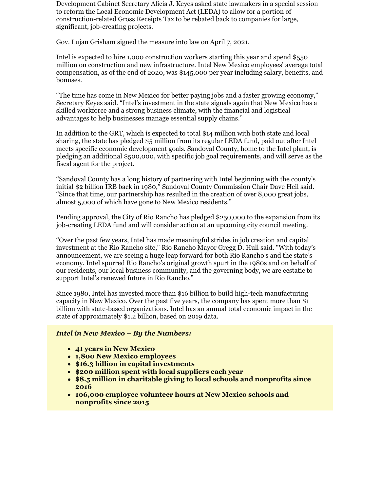Development Cabinet Secretary Alicia J. Keyes asked state lawmakers in a special session to reform the Local Economic Development Act (LEDA) to allow for a portion of construction-related Gross Receipts Tax to be rebated back to companies for large, significant, job-creating projects.

Gov. Lujan Grisham signed the measure into law on April 7, 2021.

Intel is expected to hire 1,000 construction workers starting this year and spend \$550 million on construction and new infrastructure. Intel New Mexico employees' average total compensation, as of the end of 2020, was \$145,000 per year including salary, benefits, and bonuses.

"The time has come in New Mexico for better paying jobs and a faster growing economy," Secretary Keyes said. "Intel's investment in the state signals again that New Mexico has a skilled workforce and a strong business climate, with the financial and logistical advantages to help businesses manage essential supply chains."

In addition to the GRT, which is expected to total \$14 million with both state and local sharing, the state has pledged \$5 million from its regular LEDA fund, paid out after Intel meets specific economic development goals. Sandoval County, home to the Intel plant, is pledging an additional \$500,000, with specific job goal requirements, and will serve as the fiscal agent for the project.

"Sandoval County has a long history of partnering with Intel beginning with the county's initial \$2 billion IRB back in 1980," Sandoval County Commission Chair Dave Heil said. "Since that time, our partnership has resulted in the creation of over 8,000 great jobs, almost 5,000 of which have gone to New Mexico residents."

Pending approval, the City of Rio Rancho has pledged \$250,000 to the expansion from its job-creating LEDA fund and will consider action at an upcoming city council meeting.

"Over the past few years, Intel has made meaningful strides in job creation and capital investment at the Rio Rancho site," Rio Rancho Mayor Gregg D. Hull said. "With today's announcement, we are seeing a huge leap forward for both Rio Rancho's and the state's economy. Intel spurred Rio Rancho's original growth spurt in the 1980s and on behalf of our residents, our local business community, and the governing body, we are ecstatic to support Intel's renewed future in Rio Rancho."

Since 1980, Intel has invested more than \$16 billion to build high-tech manufacturing capacity in New Mexico. Over the past five years, the company has spent more than \$1 billion with state-based organizations. Intel has an annual total economic impact in the state of approximately \$1.2 billion, based on 2019 data.

## *Intel in New Mexico – By the Numbers:*

- **41 years in New Mexico**
- **1,800 New Mexico employees**
- **\$16.3 billion in capital investments**
- **\$200 million spent with local suppliers each year**
- **\$8.5 million in charitable giving to local schools and nonprofits since 2016**
- **106,000 employee volunteer hours at New Mexico schools and nonprofits since 2015**